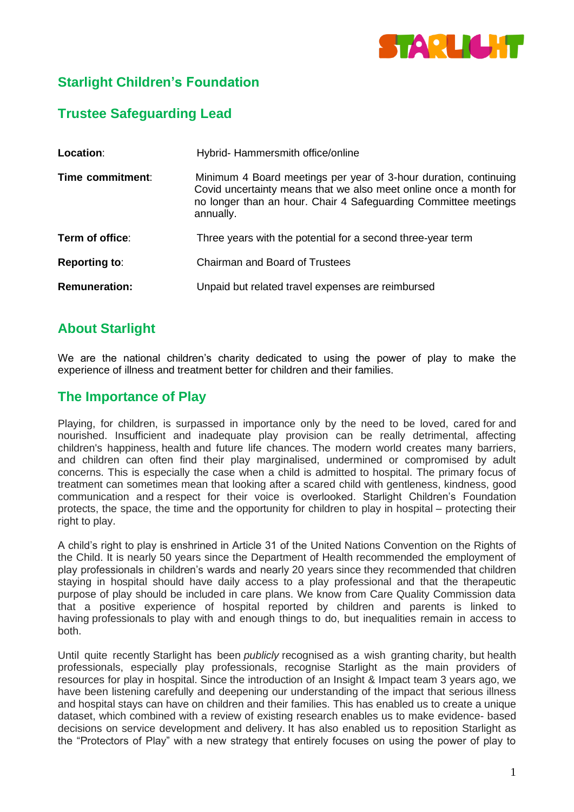

# **Starlight Children's Foundation**

## **Trustee Safeguarding Lead**

| Location:            | Hybrid-Hammersmith office/online                                                                                                                                                                                      |
|----------------------|-----------------------------------------------------------------------------------------------------------------------------------------------------------------------------------------------------------------------|
| Time commitment:     | Minimum 4 Board meetings per year of 3-hour duration, continuing<br>Covid uncertainty means that we also meet online once a month for<br>no longer than an hour. Chair 4 Safeguarding Committee meetings<br>annually. |
| Term of office:      | Three years with the potential for a second three-year term                                                                                                                                                           |
| <b>Reporting to:</b> | <b>Chairman and Board of Trustees</b>                                                                                                                                                                                 |
| <b>Remuneration:</b> | Unpaid but related travel expenses are reimbursed                                                                                                                                                                     |

## **About Starlight**

We are the national children's charity dedicated to using the power of play to make the experience of illness and treatment better for children and their families.

### **The Importance of Play**

Playing, for children, is surpassed in importance only by the need to be loved, cared for and nourished. Insufficient and inadequate play provision can be really detrimental, affecting children's happiness, health and future life chances. The modern world creates many barriers, and children can often find their play marginalised, undermined or compromised by adult concerns. This is especially the case when a child is admitted to hospital. The primary focus of treatment can sometimes mean that looking after a scared child with gentleness, kindness, good communication and a respect for their voice is overlooked. Starlight Children's Foundation protects, the space, the time and the opportunity for children to play in hospital – protecting their right to play.

A child's right to play is enshrined in Article 31 of the United Nations Convention on the Rights of the Child. It is nearly 50 years since the Department of Health recommended the employment of play professionals in children's wards and nearly 20 years since they recommended that children staying in hospital should have daily access to a play professional and that the therapeutic purpose of play should be included in care plans. We know from Care Quality Commission data that a positive experience of hospital reported by children and parents is linked to having professionals to play with and enough things to do, but inequalities remain in access to both.

Until quite recently Starlight has been *publicly* recognised as a wish granting charity, but health professionals, especially play professionals, recognise Starlight as the main providers of resources for play in hospital. Since the introduction of an Insight & Impact team 3 years ago, we have been listening carefully and deepening our understanding of the impact that serious illness and hospital stays can have on children and their families. This has enabled us to create a unique dataset, which combined with a review of existing research enables us to make evidence- based decisions on service development and delivery. It has also enabled us to reposition Starlight as the "Protectors of Play" with a new strategy that entirely focuses on using the power of play to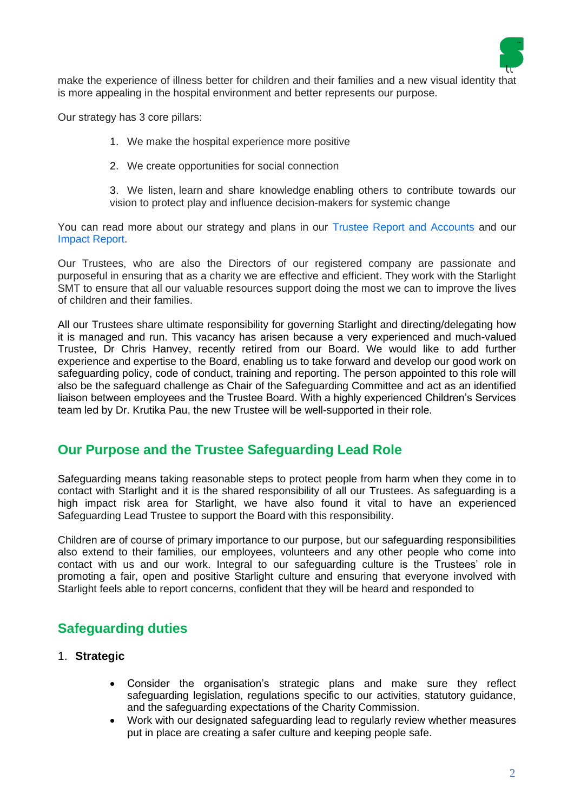

make the experience of illness better for children and their families and a new visual identity that is more appealing in the hospital environment and better represents our purpose.

Our strategy has 3 core pillars:

- 1. We make the hospital experience more positive
- 2. We create opportunities for social connection

3. We listen, learn and share knowledge enabling others to contribute towards our vision to protect play and influence decision-makers for systemic change

You can read more about our strategy and plans in our [Trustee Report and Accounts](https://www.starlight.org.uk/wp-content/uploads/2021/11/Starlight_Annual_Report_AW_SinglePagesSml.pdf) and our [Impact Report.](https://www.starlight.org.uk/wp-content/uploads/2020/11/20201123_ImpactReport_Dig_F01.2_compress.pdf)

Our Trustees, who are also the Directors of our registered company are passionate and purposeful in ensuring that as a charity we are effective and efficient. They work with the Starlight SMT to ensure that all our valuable resources support doing the most we can to improve the lives of children and their families.

All our Trustees share ultimate responsibility for governing Starlight and directing/delegating how it is managed and run. This vacancy has arisen because a very experienced and much-valued Trustee, Dr Chris Hanvey, recently retired from our Board. We would like to add further experience and expertise to the Board, enabling us to take forward and develop our good work on safeguarding policy, code of conduct, training and reporting. The person appointed to this role will also be the safeguard challenge as Chair of the Safeguarding Committee and act as an identified liaison between employees and the Trustee Board. With a highly experienced Children's Services team led by Dr. Krutika Pau, the new Trustee will be well-supported in their role.

### **Our Purpose and the Trustee Safeguarding Lead Role**

Safeguarding means taking reasonable steps to protect people from harm when they come in to contact with Starlight and it is the shared responsibility of all our Trustees. As safeguarding is a high impact risk area for Starlight, we have also found it vital to have an experienced Safeguarding Lead Trustee to support the Board with this responsibility.

Children are of course of primary importance to our purpose, but our safeguarding responsibilities also extend to their families, our employees, volunteers and any other people who come into contact with us and our work. Integral to our safeguarding culture is the Trustees' role in promoting a fair, open and positive Starlight culture and ensuring that everyone involved with Starlight feels able to report concerns, confident that they will be heard and responded to

## **Safeguarding duties**

- 1. **Strategic**
	- Consider the organisation's strategic plans and make sure they reflect safeguarding legislation, regulations specific to our activities, statutory guidance, and the safeguarding expectations of the Charity Commission.
	- Work with our designated safeguarding lead to regularly review whether measures put in place are creating a safer culture and keeping people safe.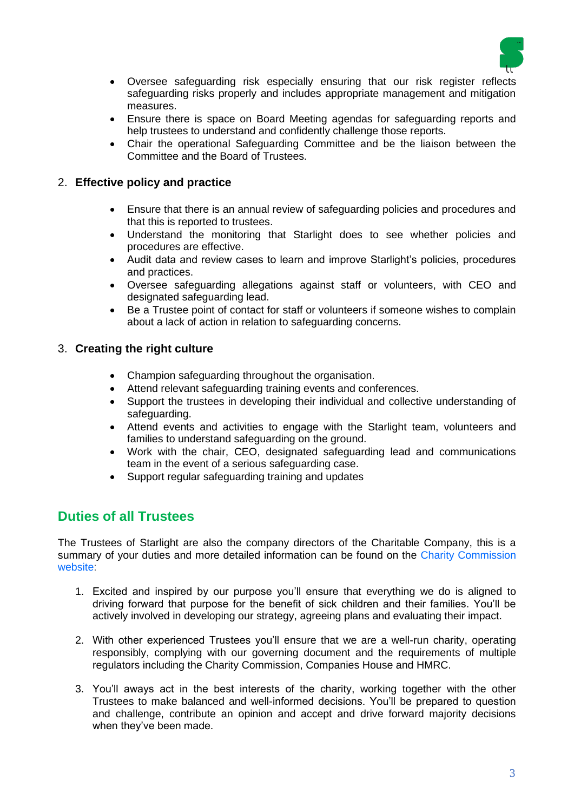

- Oversee safeguarding risk especially ensuring that our risk register reflects safeguarding risks properly and includes appropriate management and mitigation measures.
- Ensure there is space on Board Meeting agendas for safeguarding reports and help trustees to understand and confidently challenge those reports.
- Chair the operational Safeguarding Committee and be the liaison between the Committee and the Board of Trustees.

#### 2. **Effective policy and practice**

- Ensure that there is an annual review of safeguarding policies and procedures and that this is reported to trustees.
- Understand the monitoring that Starlight does to see whether policies and procedures are effective.
- Audit data and review cases to learn and improve Starlight's policies, procedures and practices.
- Oversee safeguarding allegations against staff or volunteers, with CEO and designated safeguarding lead.
- Be a Trustee point of contact for staff or volunteers if someone wishes to complain about a lack of action in relation to safeguarding concerns.

#### 3. **Creating the right culture**

- Champion safeguarding throughout the organisation.
- Attend relevant safeguarding training events and conferences.
- Support the trustees in developing their individual and collective understanding of safeguarding.
- Attend events and activities to engage with the Starlight team, volunteers and families to understand safeguarding on the ground.
- Work with the chair, CEO, designated safeguarding lead and communications team in the event of a serious safeguarding case.
- Support regular safeguarding training and updates

## **Duties of all Trustees**

The Trustees of Starlight are also the company directors of the Charitable Company, this is a summary of your duties and more detailed information can be found on the [Charity Commission](https://assets.publishing.service.gov.uk/government/uploads/system/uploads/attachment_data/file/866947/CC3_feb20.pdf)  [website:](https://assets.publishing.service.gov.uk/government/uploads/system/uploads/attachment_data/file/866947/CC3_feb20.pdf)

- 1. Excited and inspired by our purpose you'll ensure that everything we do is aligned to driving forward that purpose for the benefit of sick children and their families. You'll be actively involved in developing our strategy, agreeing plans and evaluating their impact.
- 2. With other experienced Trustees you'll ensure that we are a well-run charity, operating responsibly, complying with our governing document and the requirements of multiple regulators including the Charity Commission, Companies House and HMRC.
- 3. You'll aways act in the best interests of the charity, working together with the other Trustees to make balanced and well-informed decisions. You'll be prepared to question and challenge, contribute an opinion and accept and drive forward majority decisions when they've been made.